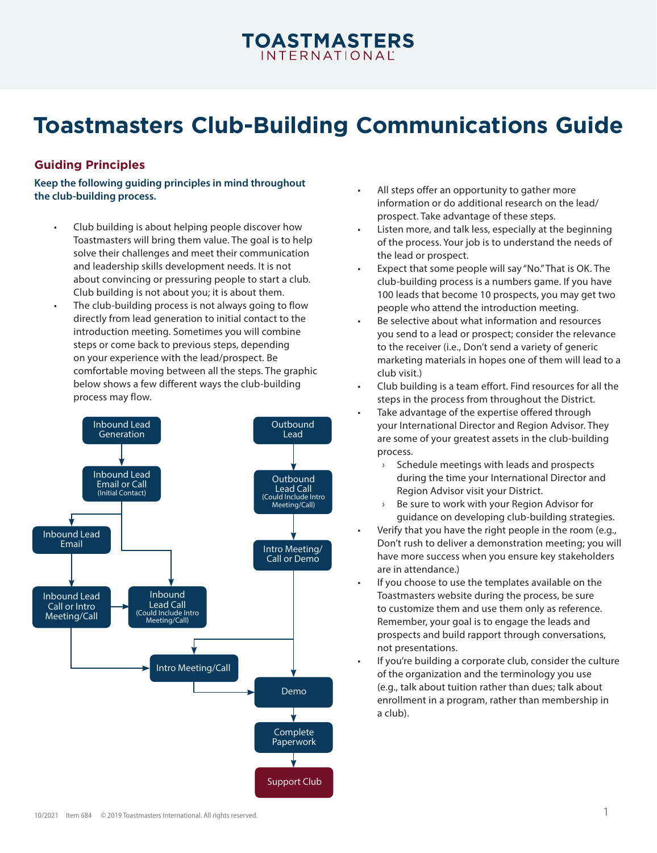# **TOASTMASTERS**

## **Toastmasters Club-Building Communications Guide**

## **Guiding Principles**

**Keep the following guiding principles in mind throughout the club-building process.**

- Club building is about helping people discover how Toastmasters will bring them value. The goal is to help solve their challenges and meet their communication and leadership skills development needs. It is not about convincing or pressuring people to start a club. Club building is not about you; it is about them.
- The club-building process is not always going to flow directly from lead generation to initial contact to the introduction meeting. Sometimes you will combine steps or come back to previous steps, depending on your experience with the lead/prospect. Be comfortable moving between all the steps. The graphic below shows a few different ways the club-building process may flow.



- All steps offer an opportunity to gather more information or do additional research on the lead/ prospect. Take advantage of these steps.
- Listen more, and talk less, especially at the beginning of the process. Your job is to understand the needs of the lead or prospect.
- Expect that some people will say "No." That is OK. The club-building process is a numbers game. If you have 100 leads that become 10 prospects, you may get two people who attend the introduction meeting.
- Be selective about what information and resources you send to a lead or prospect; consider the relevance to the receiver (i.e., Don't send a variety of generic marketing materials in hopes one of them will lead to a club visit.)
- Club building is a team effort. Find resources for all the steps in the process from throughout the District.
- Take advantage of the expertise offered through your International Director and Region Advisor. They are some of your greatest assets in the club-building process.
	- Schedule meetings with leads and prospects during the time your International Director and Region Advisor visit your District.
	- › Be sure to work with your Region Advisor for guidance on developing club-building strategies.
- Verify that you have the right people in the room (e.g., Don't rush to deliver a demonstration meeting; you will have more success when you ensure key stakeholders are in attendance.)
- If you choose to use the templates available on the Toastmasters website during the process, be sure to customize them and use them only as reference. Remember, your goal is to engage the leads and prospects and build rapport through conversations, not presentations.
- If you're building a corporate club, consider the culture of the organization and the terminology you use (e.g., talk about tuition rather than dues; talk about enrollment in a program, rather than membership in a club).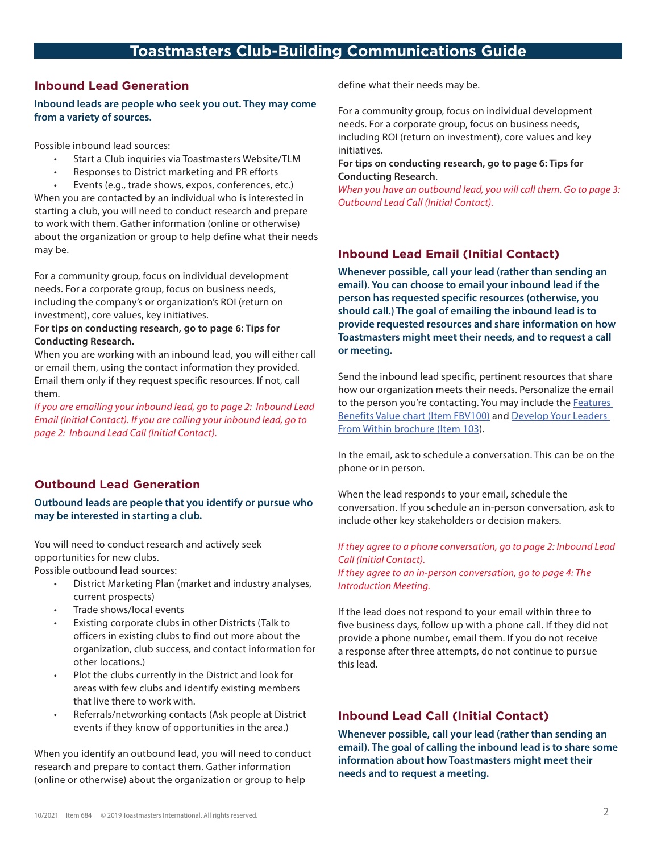## **Inbound Lead Generation**

**Inbound leads are people who seek you out. They may come from a variety of sources.**

Possible inbound lead sources:

- Start a Club inquiries via Toastmasters Website/TLM
- Responses to District marketing and PR efforts

• Events (e.g., trade shows, expos, conferences, etc.) When you are contacted by an individual who is interested in starting a club, you will need to conduct research and prepare to work with them. Gather information (online or otherwise) about the organization or group to help define what their needs may be.

For a community group, focus on individual development needs. For a corporate group, focus on business needs, including the company's or organization's ROI (return on investment), core values, key initiatives.

#### **For tips on conducting research, go to page 6: Tips for Conducting Research.**

When you are working with an inbound lead, you will either call or email them, using the contact information they provided. Email them only if they request specific resources. If not, call them.

*If you are emailing your inbound lead, go to page 2: Inbound Lead Email (Initial Contact). If you are calling your inbound lead, go to page 2: Inbound Lead Call (Initial Contact).*

## **Outbound Lead Generation**

## **Outbound leads are people that you identify or pursue who may be interested in starting a club.**

You will need to conduct research and actively seek opportunities for new clubs.

Possible outbound lead sources:

- District Marketing Plan (market and industry analyses, current prospects)
- Trade shows/local events
- Existing corporate clubs in other Districts (Talk to officers in existing clubs to find out more about the organization, club success, and contact information for other locations.)
- Plot the clubs currently in the District and look for areas with few clubs and identify existing members that live there to work with.
- Referrals/networking contacts (Ask people at District events if they know of opportunities in the area.)

When you identify an outbound lead, you will need to conduct research and prepare to contact them. Gather information (online or otherwise) about the organization or group to help

define what their needs may be.

For a community group, focus on individual development needs. For a corporate group, focus on business needs, including ROI (return on investment), core values and key initiatives.

#### **For tips on conducting research, go to page 6: Tips for Conducting Research**.

*When you have an outbound lead, you will call them. Go to page 3: Outbound Lead Call (Initial Contact).*

## **Inbound Lead Email (Initial Contact)**

**Whenever possible, call your lead (rather than sending an email). You can choose to email your inbound lead if the person has requested specific resources (otherwise, you should call.) The goal of emailing the inbound lead is to provide requested resources and share information on how Toastmasters might meet their needs, and to request a call or meeting.**

Send the inbound lead specific, pertinent resources that share how our organization meets their needs. Personalize the email to the person you're contacting. You may include the **Features** [Benefits Value chart \(Item FBV100\)](https://www.toastmasters.org/-/media/files/department-documents/marketing-documents/features-benefits-and-value-chart.ashx) and [Develop Your Leaders](https://www.toastmasters.org/-/media/files/department-documents/marketing-documents/103-develop-your-leaders-from-within.ashx)  [From Within brochure \(Item 103](https://www.toastmasters.org/-/media/files/department-documents/marketing-documents/103-develop-your-leaders-from-within.ashx)).

In the email, ask to schedule a conversation. This can be on the phone or in person.

When the lead responds to your email, schedule the conversation. If you schedule an in-person conversation, ask to include other key stakeholders or decision makers.

#### *If they agree to a phone conversation, go to page 2: Inbound Lead Call (Initial Contact).*

*If they agree to an in-person conversation, go to page 4: The Introduction Meeting.*

If the lead does not respond to your email within three to five business days, follow up with a phone call. If they did not provide a phone number, email them. If you do not receive a response after three attempts, do not continue to pursue this lead.

## **Inbound Lead Call (Initial Contact)**

**Whenever possible, call your lead (rather than sending an email). The goal of calling the inbound lead is to share some information about how Toastmasters might meet their needs and to request a meeting.**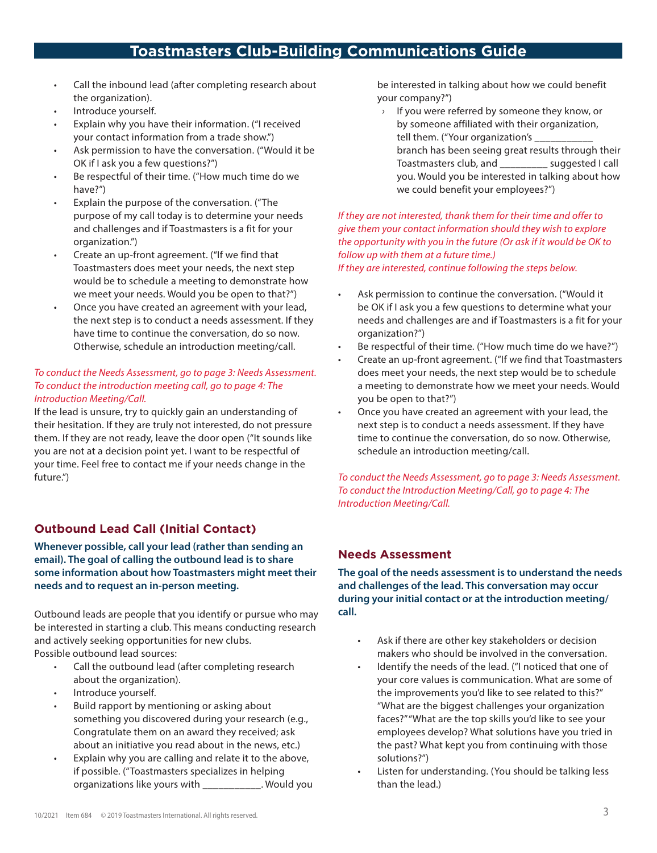- Call the inbound lead (after completing research about the organization).
- Introduce yourself.
- Explain why you have their information. ("I received your contact information from a trade show.")
- Ask permission to have the conversation. ("Would it be OK if I ask you a few questions?")
- Be respectful of their time. ("How much time do we have?")
- Explain the purpose of the conversation. ("The purpose of my call today is to determine your needs and challenges and if Toastmasters is a fit for your organization.")
- Create an up-front agreement. ("If we find that Toastmasters does meet your needs, the next step would be to schedule a meeting to demonstrate how we meet your needs. Would you be open to that?")
- Once you have created an agreement with your lead, the next step is to conduct a needs assessment. If they have time to continue the conversation, do so now. Otherwise, schedule an introduction meeting/call.

## *To conduct the Needs Assessment, go to page 3: Needs Assessment. To conduct the introduction meeting call, go to page 4: The Introduction Meeting/Call.*

If the lead is unsure, try to quickly gain an understanding of their hesitation. If they are truly not interested, do not pressure them. If they are not ready, leave the door open ("It sounds like you are not at a decision point yet. I want to be respectful of your time. Feel free to contact me if your needs change in the future.")

## **Outbound Lead Call (Initial Contact)**

## **Whenever possible, call your lead (rather than sending an email). The goal of calling the outbound lead is to share some information about how Toastmasters might meet their needs and to request an in-person meeting.**

Outbound leads are people that you identify or pursue who may be interested in starting a club. This means conducting research and actively seeking opportunities for new clubs. Possible outbound lead sources:

- Call the outbound lead (after completing research about the organization).
- Introduce yourself.
- Build rapport by mentioning or asking about something you discovered during your research (e.g., Congratulate them on an award they received; ask about an initiative you read about in the news, etc.)
- Explain why you are calling and relate it to the above, if possible. ("Toastmasters specializes in helping organizations like yours with \_\_\_\_\_\_\_\_\_\_\_. Would you

be interested in talking about how we could benefit your company?")

› If you were referred by someone they know, or by someone affiliated with their organization, tell them. ("Your organization's \_ branch has been seeing great results through their Toastmasters club, and \_\_\_\_\_\_\_\_\_ suggested I call you. Would you be interested in talking about how we could benefit your employees?")

## *If they are not interested, thank them for their time and offer to give them your contact information should they wish to explore the opportunity with you in the future (Or ask if it would be OK to follow up with them at a future time.)*

*If they are interested, continue following the steps below.*

- Ask permission to continue the conversation. ("Would it be OK if I ask you a few questions to determine what your needs and challenges are and if Toastmasters is a fit for your organization?")
- Be respectful of their time. ("How much time do we have?")
- Create an up-front agreement. ("If we find that Toastmasters does meet your needs, the next step would be to schedule a meeting to demonstrate how we meet your needs. Would you be open to that?")
- Once you have created an agreement with your lead, the next step is to conduct a needs assessment. If they have time to continue the conversation, do so now. Otherwise, schedule an introduction meeting/call.

*To conduct the Needs Assessment, go to page 3: Needs Assessment. To conduct the Introduction Meeting/Call, go to page 4: The Introduction Meeting/Call.*

## **Needs Assessment**

**The goal of the needs assessment is to understand the needs and challenges of the lead. This conversation may occur during your initial contact or at the introduction meeting/ call.** 

- Ask if there are other key stakeholders or decision makers who should be involved in the conversation.
- Identify the needs of the lead. ("I noticed that one of your core values is communication. What are some of the improvements you'd like to see related to this?" "What are the biggest challenges your organization faces?" "What are the top skills you'd like to see your employees develop? What solutions have you tried in the past? What kept you from continuing with those solutions?")
- Listen for understanding. (You should be talking less than the lead.)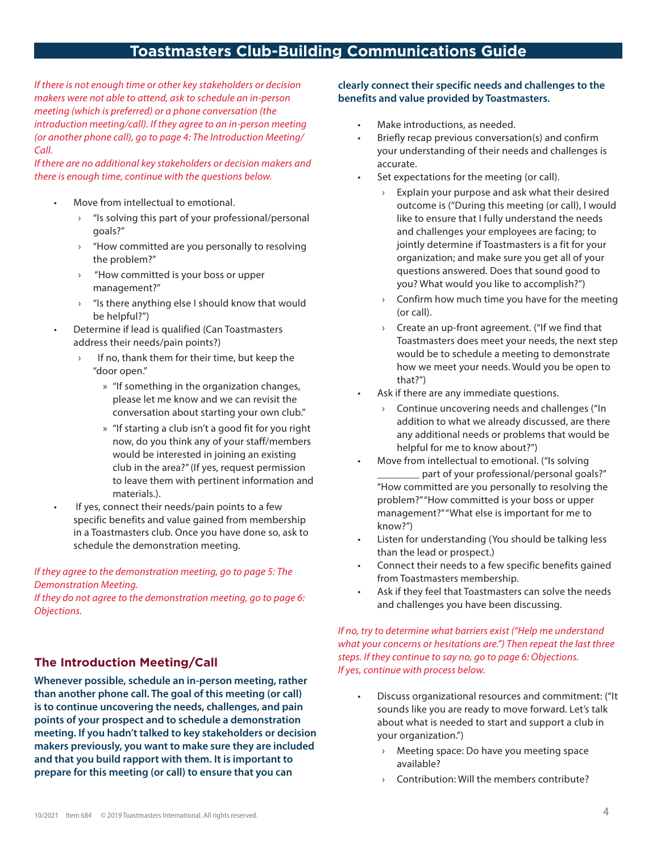*If there is not enough time or other key stakeholders or decision makers were not able to attend, ask to schedule an in-person meeting (which is preferred) or a phone conversation (the introduction meeting/call). If they agree to an in-person meeting (or another phone call), go to page 4: The Introduction Meeting/ Call.*

*If there are no additional key stakeholders or decision makers and there is enough time, continue with the questions below.*

- Move from intellectual to emotional.
	- › "Is solving this part of your professional/personal goals?"
	- $\rightarrow$  "How committed are you personally to resolving the problem?"
	- › "How committed is your boss or upper management?"
	- › "Is there anything else I should know that would be helpful?")
- Determine if lead is qualified (Can Toastmasters address their needs/pain points?)
	- If no, thank them for their time, but keep the "door open."
		- » "If something in the organization changes, please let me know and we can revisit the conversation about starting your own club."
		- » "If starting a club isn't a good fit for you right now, do you think any of your staff/members would be interested in joining an existing club in the area?" (If yes, request permission to leave them with pertinent information and materials.).
- If yes, connect their needs/pain points to a few specific benefits and value gained from membership in a Toastmasters club. Once you have done so, ask to schedule the demonstration meeting.

*If they agree to the demonstration meeting, go to page 5: The Demonstration Meeting.*

*If they do not agree to the demonstration meeting, go to page 6: Objections.*

## **The Introduction Meeting/Call**

**Whenever possible, schedule an in-person meeting, rather than another phone call. The goal of this meeting (or call) is to continue uncovering the needs, challenges, and pain points of your prospect and to schedule a demonstration meeting. If you hadn't talked to key stakeholders or decision makers previously, you want to make sure they are included and that you build rapport with them. It is important to prepare for this meeting (or call) to ensure that you can** 

#### **clearly connect their specific needs and challenges to the benefits and value provided by Toastmasters.**

- Make introductions, as needed.
- Briefly recap previous conversation(s) and confirm your understanding of their needs and challenges is accurate.
- Set expectations for the meeting (or call).
	- Explain your purpose and ask what their desired outcome is ("During this meeting (or call), I would like to ensure that I fully understand the needs and challenges your employees are facing; to jointly determine if Toastmasters is a fit for your organization; and make sure you get all of your questions answered. Does that sound good to you? What would you like to accomplish?")
	- $\rightarrow$  Confirm how much time you have for the meeting (or call).
	- › Create an up-front agreement. ("If we find that Toastmasters does meet your needs, the next step would be to schedule a meeting to demonstrate how we meet your needs. Would you be open to that?")
- Ask if there are any immediate questions.
	- $\rightarrow$  Continue uncovering needs and challenges ("In addition to what we already discussed, are there any additional needs or problems that would be helpful for me to know about?")
- Move from intellectual to emotional. ("Is solving \_part of your professional/personal goals?" "How committed are you personally to resolving the problem?" "How committed is your boss or upper management?" "What else is important for me to know?")
- Listen for understanding (You should be talking less than the lead or prospect.)
- Connect their needs to a few specific benefits gained from Toastmasters membership.
- Ask if they feel that Toastmasters can solve the needs and challenges you have been discussing.

## *If no, try to determine what barriers exist ("Help me understand what your concerns or hesitations are.") Then repeat the last three steps. If they continue to say no, go to page 6: Objections. If yes, continue with process below.*

- Discuss organizational resources and commitment: ("It sounds like you are ready to move forward. Let's talk about what is needed to start and support a club in your organization.")
	- Meeting space: Do have you meeting space available?
	- › Contribution: Will the members contribute?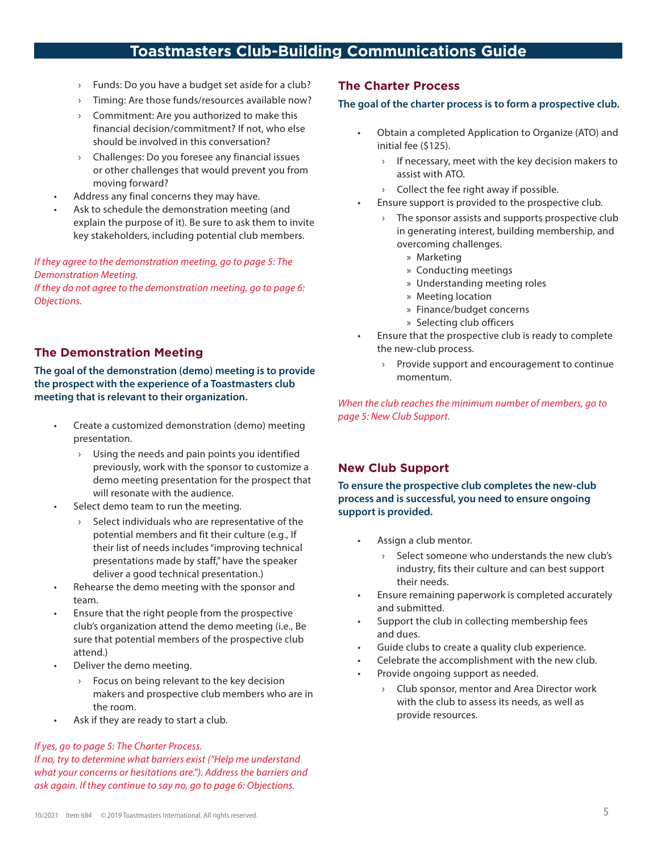- Funds: Do you have a budget set aside for a club?
- › Timing: Are those funds/resources available now?
- Commitment: Are you authorized to make this financial decision/commitment? If not, who else should be involved in this conversation?
- › Challenges: Do you foresee any financial issues or other challenges that would prevent you from moving forward?
- Address any final concerns they may have.
- Ask to schedule the demonstration meeting (and explain the purpose of it). Be sure to ask them to invite key stakeholders, including potential club members.

## *If they agree to the demonstration meeting, go to page 5: The Demonstration Meeting.*

*If they do not agree to the demonstration meeting, go to page 6: Objections.*

## **The Demonstration Meeting**

**The goal of the demonstration (demo) meeting is to provide the prospect with the experience of a Toastmasters club meeting that is relevant to their organization.** 

- Create a customized demonstration (demo) meeting presentation.
	- $\rightarrow$  Using the needs and pain points you identified previously, work with the sponsor to customize a demo meeting presentation for the prospect that will resonate with the audience.
- Select demo team to run the meeting.
	- $\rightarrow$  Select individuals who are representative of the potential members and fit their culture (e.g., If their list of needs includes "improving technical presentations made by staff," have the speaker deliver a good technical presentation.)
- Rehearse the demo meeting with the sponsor and team.
- Ensure that the right people from the prospective club's organization attend the demo meeting (i.e., Be sure that potential members of the prospective club attend.)
- Deliver the demo meeting.
	- Focus on being relevant to the key decision makers and prospective club members who are in the room.
- Ask if they are ready to start a club.

#### *If yes, go to page 5: The Charter Process.*

*If no, try to determine what barriers exist ("Help me understand what your concerns or hesitations are."). Address the barriers and ask again. If they continue to say no, go to page 6: Objections.*

## **The Charter Process**

#### **The goal of the charter process is to form a prospective club.**

- Obtain a completed Application to Organize (ATO) and initial fee (\$125).
	- If necessary, meet with the key decision makers to assist with ATO.
	- $\rightarrow$  Collect the fee right away if possible.
- Ensure support is provided to the prospective club.
	- $\rightarrow$  The sponsor assists and supports prospective club in generating interest, building membership, and overcoming challenges.
		- » Marketing
		- » Conducting meetings
		- » Understanding meeting roles
		- » Meeting location
		- » Finance/budget concerns
		- » Selecting club officers
- Ensure that the prospective club is ready to complete the new-club process.
	- › Provide support and encouragement to continue momentum.

*When the club reaches the minimum number of members, go to page 5: New Club Support.*

## **New Club Support**

**To ensure the prospective club completes the new-club process and is successful, you need to ensure ongoing support is provided.** 

- Assign a club mentor.
	- Select someone who understands the new club's industry, fits their culture and can best support their needs.
- Ensure remaining paperwork is completed accurately and submitted.
- Support the club in collecting membership fees and dues.
- Guide clubs to create a quality club experience.
- Celebrate the accomplishment with the new club.
- Provide ongoing support as needed.
	- › Club sponsor, mentor and Area Director work with the club to assess its needs, as well as provide resources.